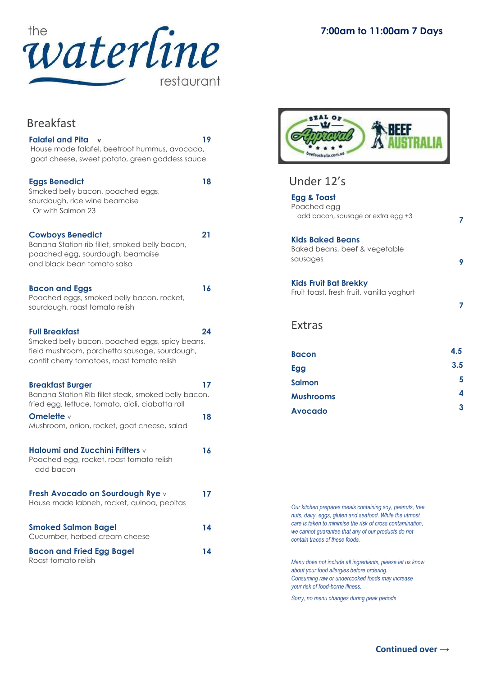

Breakfast

| <b>Falafel and Pita</b><br>House made falafel, beetroot hummus, avocado,<br>goat cheese, sweet potato, green goddess sauce                                              | 19 |
|-------------------------------------------------------------------------------------------------------------------------------------------------------------------------|----|
| <b>Eggs Benedict</b><br>Smoked belly bacon, poached eggs,<br>sourdough, rice wine bearnaise<br>Or with Salmon 23                                                        | 18 |
| <b>Cowboys Benedict</b><br>Banana Station rib fillet, smoked belly bacon,<br>poached egg, sourdough, bearnaise<br>and black bean tomato salsa                           | 21 |
| <b>Bacon and Eggs</b><br>Poached eggs, smoked belly bacon, rocket,<br>sourdough, roast tomato relish                                                                    | 16 |
| <b>Full Breakfast</b><br>Smoked belly bacon, poached eggs, spicy beans,<br>field mushroom, porchetta sausage, sourdough,<br>confit cherry tomatoes, roast tomato relish | 24 |
| <b>Breakfast Burger</b><br>Banana Station Rib fillet steak, smoked belly bacon,<br>fried egg, lettuce, tomato, aioli, ciabatta roll                                     | 17 |
| Omelette $\vee$<br>Mushroom, onion, rocket, goat cheese, salad                                                                                                          | 18 |
| Haloumi and Zucchini Fritters v<br>Poached egg, rocket, roast tomato relish<br>add bacon                                                                                | 16 |
| Fresh Avocado on Sourdough Rye v<br>House made labneh, rocket, quinoa, pepitas                                                                                          | 17 |
| <b>Smoked Salmon Bagel</b><br>Cucumber, herbed cream cheese                                                                                                             | 14 |
| <b>Bacon and Fried Egg Bagel</b><br>Roast tomato relish                                                                                                                 | 14 |



# Under 12's

| <b>Egg &amp; Toast</b>                    |     |
|-------------------------------------------|-----|
| Poached egg                               |     |
| add bacon, sausage or extra egg +3        |     |
| <b>Kids Baked Beans</b>                   |     |
| Baked beans, beef & vegetable             |     |
| sausages                                  | 9   |
| <b>Kids Fruit Bat Brekky</b>              |     |
| Fruit toast, fresh fruit, vanilla yoghurt |     |
|                                           | 7   |
| <b>Extras</b>                             |     |
|                                           |     |
| <b>Bacon</b>                              | 4.5 |
| Egg                                       | 3.5 |
| Salmon                                    | 5   |
| <b>Mushrooms</b>                          | 4   |
| <b>Avocado</b>                            | 3   |
|                                           |     |

*Our kitchen prepares meals containing soy, peanuts, tree nuts, dairy, eggs, gluten and seafood. While the utmost care is taken to minimise the risk of cross contamination, we cannot guarantee that any of our products do not contain traces of these foods.*

*Menu does not include all ingredients, please let us know about your food allergies before ordering. Consuming raw or undercooked foods may increase your risk of food-borne illness.*

*Sorry, no menu changes during peak periods*